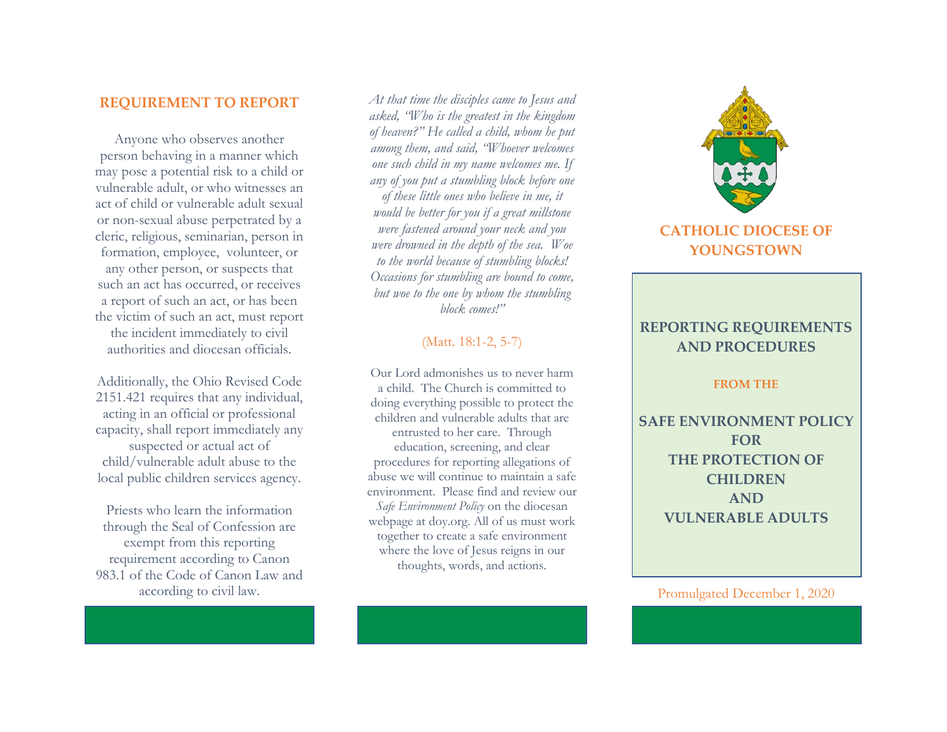### **REQUIREMENT TO REPORT**

Anyone who observes another person behaving in a manner which may pose a potential risk to a child or vulnerable adult, or who witnesses an act of child or vulnerable adult sexual or non-sexual abuse perpetrated by a cleric, religious, seminarian, person in formation, employee, volunteer, or any other person, or suspects that such an act has occurred, or receives a report of such an act, or has been the victim of such an act, must report the incident immediately to civil authorities and diocesan officials.

Additionally, the Ohio Revised Code 2151.421 requires that any individual, acting in an official or professional capacity, shall report immediately any suspected or actual act of child/vulnerable adult abuse to the local public children services agency.

Priests who learn the information through the Seal of Confession are exempt from this reporting requirement according to Canon 983.1 of the Code of Canon Law and according to civil law.

*At that time the disciples came to Jesus and asked, "Who is the greatest in the kingdom of heaven?" He called a child, whom he put among them, and said, "Whoever welcomes one such child in my name welcomes me. If any of you put a stumbling block before one of these little ones who believe in me, it would be better for you if a great millstone were fastened around your neck and you were drowned in the depth of the sea. Woe to the world because of stumbling blocks! Occasions for stumbling are bound to come, but woe to the one by whom the stumbling block comes!"*

### (Matt. 18:1-2, 5-7)

Our Lord admonishes us to never harm a child. The Church is committed to doing everything possible to protect the children and vulnerable adults that are entrusted to her care. Through education, screening, and clear procedures for reporting allegations of abuse we will continue to maintain a safe environment. Please find and review our *Safe Environment Policy* on the diocesan webpage at doy.org. All of us must work together to create a safe environment where the love of Jesus reigns in our thoughts, words, and actions.



# **CATHOLIC DIOCESE OF YOUNGSTOWN**

# **REPORTING REQUIREMENTS AND PROCEDURES**

#### **FROM THE**

**SAFE ENVIRONMENT POLICY FOR THE PROTECTION OF CHILDREN AND VULNERABLE ADULTS**

Promulgated December 1, 2020